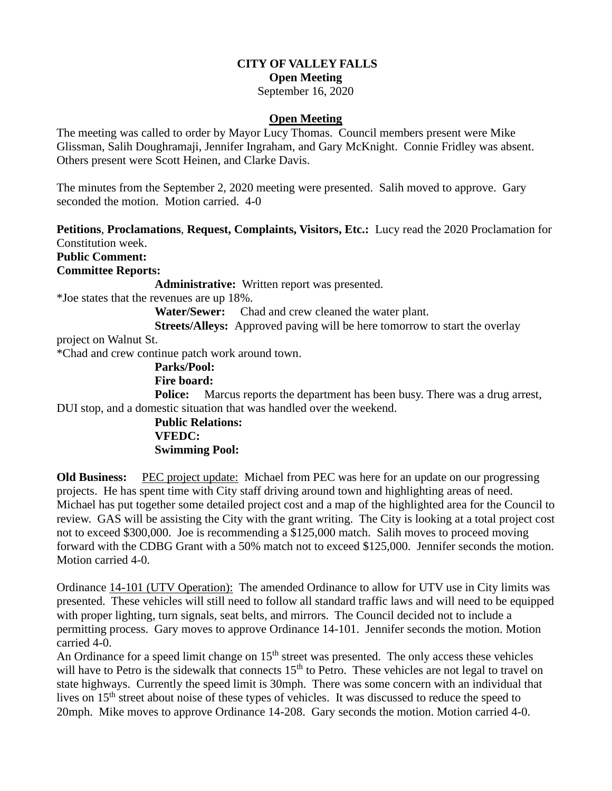## **CITY OF VALLEY FALLS**

**Open Meeting**

September 16, 2020

## **Open Meeting**

The meeting was called to order by Mayor Lucy Thomas. Council members present were Mike Glissman, Salih Doughramaji, Jennifer Ingraham, and Gary McKnight. Connie Fridley was absent. Others present were Scott Heinen, and Clarke Davis.

The minutes from the September 2, 2020 meeting were presented. Salih moved to approve. Gary seconded the motion. Motion carried. 4-0

**Petitions**, **Proclamations**, **Request, Complaints, Visitors, Etc.:** Lucy read the 2020 Proclamation for Constitution week.

**Public Comment:**

**Committee Reports:**

**Administrative:** Written report was presented.

\*Joe states that the revenues are up 18%.

**Water/Sewer:** Chad and crew cleaned the water plant.

**Streets/Alleys:** Approved paving will be here tomorrow to start the overlay project on Walnut St.

\*Chad and crew continue patch work around town.

 **Parks/Pool: Fire board:** 

**Police:** Marcus reports the department has been busy. There was a drug arrest, DUI stop, and a domestic situation that was handled over the weekend.

> **Public Relations: VFEDC: Swimming Pool:**

**Old Business:** PEC project update: Michael from PEC was here for an update on our progressing projects. He has spent time with City staff driving around town and highlighting areas of need. Michael has put together some detailed project cost and a map of the highlighted area for the Council to review. GAS will be assisting the City with the grant writing. The City is looking at a total project cost not to exceed \$300,000. Joe is recommending a \$125,000 match. Salih moves to proceed moving forward with the CDBG Grant with a 50% match not to exceed \$125,000. Jennifer seconds the motion. Motion carried 4-0.

Ordinance 14-101 (UTV Operation): The amended Ordinance to allow for UTV use in City limits was presented. These vehicles will still need to follow all standard traffic laws and will need to be equipped with proper lighting, turn signals, seat belts, and mirrors. The Council decided not to include a permitting process. Gary moves to approve Ordinance 14-101. Jennifer seconds the motion. Motion carried 4-0.

An Ordinance for a speed limit change on  $15<sup>th</sup>$  street was presented. The only access these vehicles will have to Petro is the sidewalk that connects 15<sup>th</sup> to Petro. These vehicles are not legal to travel on state highways. Currently the speed limit is 30mph. There was some concern with an individual that lives on 15<sup>th</sup> street about noise of these types of vehicles. It was discussed to reduce the speed to 20mph. Mike moves to approve Ordinance 14-208. Gary seconds the motion. Motion carried 4-0.